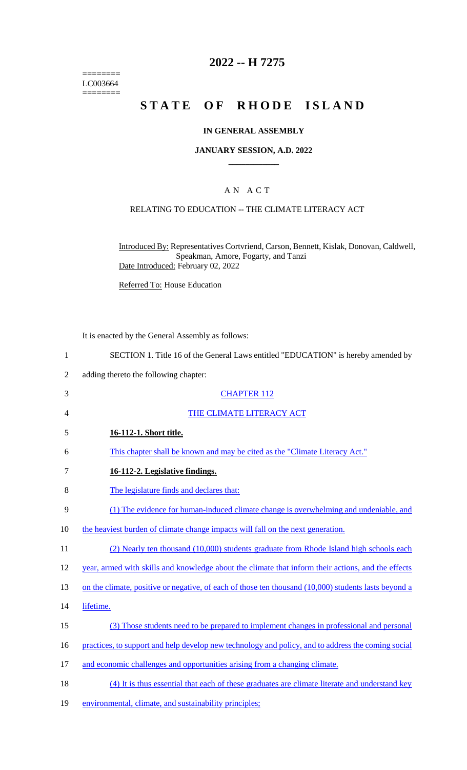======== LC003664  $=$ 

# **2022 -- H 7275**

# STATE OF RHODE ISLAND

### **IN GENERAL ASSEMBLY**

### **JANUARY SESSION, A.D. 2022 \_\_\_\_\_\_\_\_\_\_\_\_**

## A N A C T

## RELATING TO EDUCATION -- THE CLIMATE LITERACY ACT

Introduced By: Representatives Cortvriend, Carson, Bennett, Kislak, Donovan, Caldwell, Speakman, Amore, Fogarty, and Tanzi Date Introduced: February 02, 2022

Referred To: House Education

It is enacted by the General Assembly as follows:

|                | It is enacted by the General Assembly as follows.                                                    |
|----------------|------------------------------------------------------------------------------------------------------|
| $\mathbf{1}$   | SECTION 1. Title 16 of the General Laws entitled "EDUCATION" is hereby amended by                    |
| $\overline{2}$ | adding thereto the following chapter:                                                                |
| 3              | <b>CHAPTER 112</b>                                                                                   |
| 4              | THE CLIMATE LITERACY ACT                                                                             |
| 5              | 16-112-1. Short title.                                                                               |
| 6              | This chapter shall be known and may be cited as the "Climate Literacy Act."                          |
| 7              | 16-112-2. Legislative findings.                                                                      |
| 8              | The legislature finds and declares that:                                                             |
| 9              | (1) The evidence for human-induced climate change is overwhelming and undeniable, and                |
| 10             | the heaviest burden of climate change impacts will fall on the next generation.                      |
| 11             | (2) Nearly ten thousand (10,000) students graduate from Rhode Island high schools each               |
| 12             | year, armed with skills and knowledge about the climate that inform their actions, and the effects   |
| 13             | on the climate, positive or negative, of each of those ten thousand (10,000) students lasts beyond a |
| 14             | lifetime.                                                                                            |
| 15             | (3) Those students need to be prepared to implement changes in professional and personal             |
| 16             | practices, to support and help develop new technology and policy, and to address the coming social   |
| 17             | and economic challenges and opportunities arising from a changing climate.                           |
| 18             | (4) It is thus essential that each of these graduates are climate literate and understand key        |
| 19             | environmental, climate, and sustainability principles;                                               |
|                |                                                                                                      |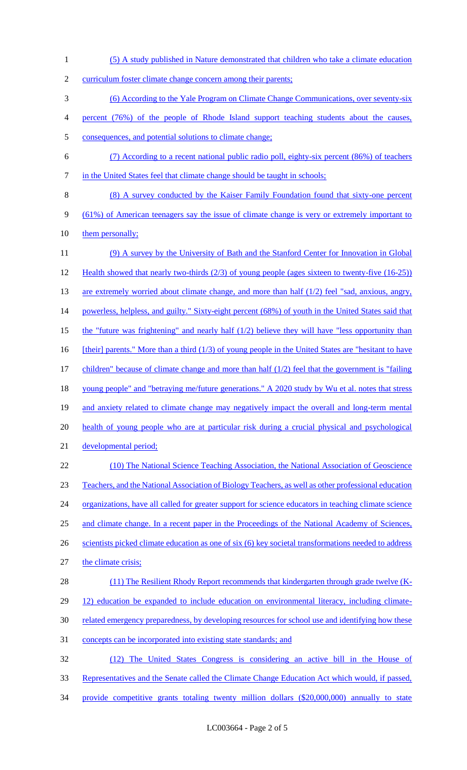1 (5) A study published in Nature demonstrated that children who take a climate education 2 curriculum foster climate change concern among their parents; 3 (6) According to the Yale Program on Climate Change Communications, over seventy-six 4 percent (76%) of the people of Rhode Island support teaching students about the causes, 5 consequences, and potential solutions to climate change; 6 (7) According to a recent national public radio poll, eighty-six percent (86%) of teachers 7 in the United States feel that climate change should be taught in schools; 8 (8) A survey conducted by the Kaiser Family Foundation found that sixty-one percent 9 (61%) of American teenagers say the issue of climate change is very or extremely important to 10 them personally; 11 (9) A survey by the University of Bath and the Stanford Center for Innovation in Global 12 Health showed that nearly two-thirds (2/3) of young people (ages sixteen to twenty-five (16-25)) 13 are extremely worried about climate change, and more than half (1/2) feel "sad, anxious, angry, 14 powerless, helpless, and guilty." Sixty-eight percent (68%) of youth in the United States said that 15 the "future was frightening" and nearly half (1/2) believe they will have "less opportunity than 16 [their] parents." More than a third (1/3) of young people in the United States are "hesitant to have 17 children" because of climate change and more than half (1/2) feel that the government is "failing 18 young people" and "betraying me/future generations." A 2020 study by Wu et al. notes that stress 19 and anxiety related to climate change may negatively impact the overall and long-term mental 20 health of young people who are at particular risk during a crucial physical and psychological 21 developmental period; 22 (10) The National Science Teaching Association, the National Association of Geoscience 23 Teachers, and the National Association of Biology Teachers, as well as other professional education 24 organizations, have all called for greater support for science educators in teaching climate science 25 and climate change. In a recent paper in the Proceedings of the National Academy of Sciences, 26 scientists picked climate education as one of six (6) key societal transformations needed to address 27 the climate crisis; 28 (11) The Resilient Rhody Report recommends that kindergarten through grade twelve (K-29 12) education be expanded to include education on environmental literacy, including climate-30 related emergency preparedness, by developing resources for school use and identifying how these 31 concepts can be incorporated into existing state standards; and 32 (12) The United States Congress is considering an active bill in the House of 33 Representatives and the Senate called the Climate Change Education Act which would, if passed, 34 provide competitive grants totaling twenty million dollars (\$20,000,000) annually to state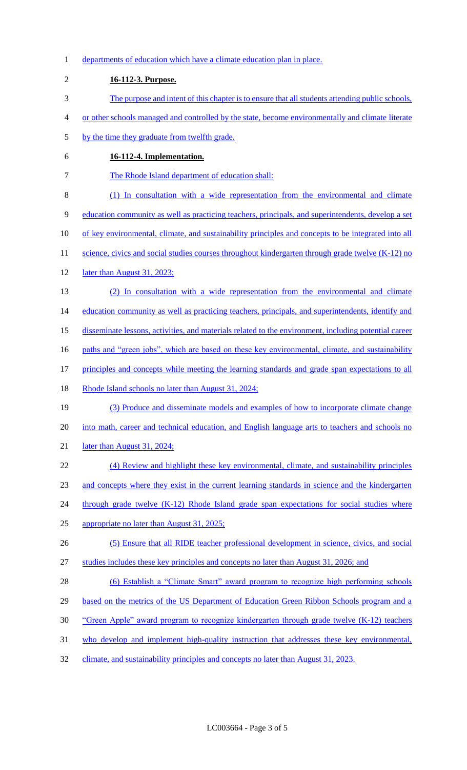1 departments of education which have a climate education plan in place. 2 **16-112-3. Purpose.**  3 The purpose and intent of this chapter is to ensure that all students attending public schools, 4 or other schools managed and controlled by the state, become environmentally and climate literate 5 by the time they graduate from twelfth grade. 6 **16-112-4. Implementation.**  7 The Rhode Island department of education shall: 8 (1) In consultation with a wide representation from the environmental and climate 9 education community as well as practicing teachers, principals, and superintendents, develop a set 10 of key environmental, climate, and sustainability principles and concepts to be integrated into all 11 science, civics and social studies courses throughout kindergarten through grade twelve (K-12) no 12 **later than August 31, 2023;** 13 (2) In consultation with a wide representation from the environmental and climate 14 education community as well as practicing teachers, principals, and superintendents, identify and 15 disseminate lessons, activities, and materials related to the environment, including potential career 16 paths and "green jobs", which are based on these key environmental, climate, and sustainability 17 principles and concepts while meeting the learning standards and grade span expectations to all 18 Rhode Island schools no later than August 31, 2024; 19 (3) Produce and disseminate models and examples of how to incorporate climate change 20 into math, career and technical education, and English language arts to teachers and schools no 21 later than August 31, 2024; 22 (4) Review and highlight these key environmental, climate, and sustainability principles 23 and concepts where they exist in the current learning standards in science and the kindergarten 24 through grade twelve (K-12) Rhode Island grade span expectations for social studies where 25 appropriate no later than August 31, 2025; 26 (5) Ensure that all RIDE teacher professional development in science, civics, and social 27 studies includes these key principles and concepts no later than August 31, 2026; and 28 (6) Establish a "Climate Smart" award program to recognize high performing schools 29 based on the metrics of the US Department of Education Green Ribbon Schools program and a 30 "Green Apple" award program to recognize kindergarten through grade twelve (K-12) teachers 31 who develop and implement high-quality instruction that addresses these key environmental, 32 climate, and sustainability principles and concepts no later than August 31, 2023.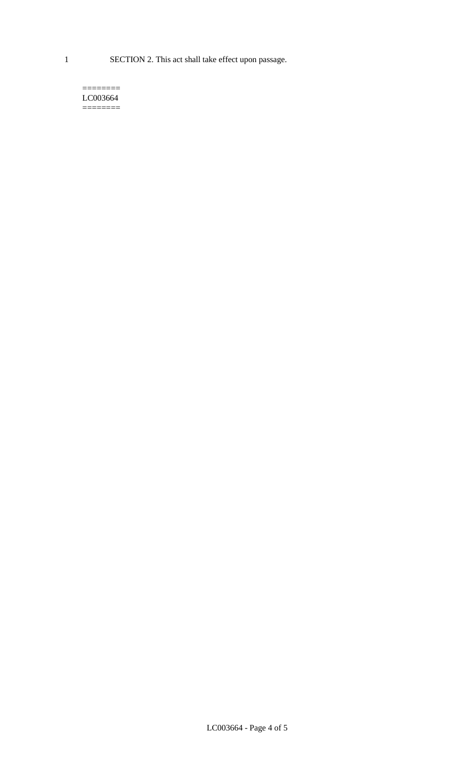1 SECTION 2. This act shall take effect upon passage.

#### $=$ LC003664 ========